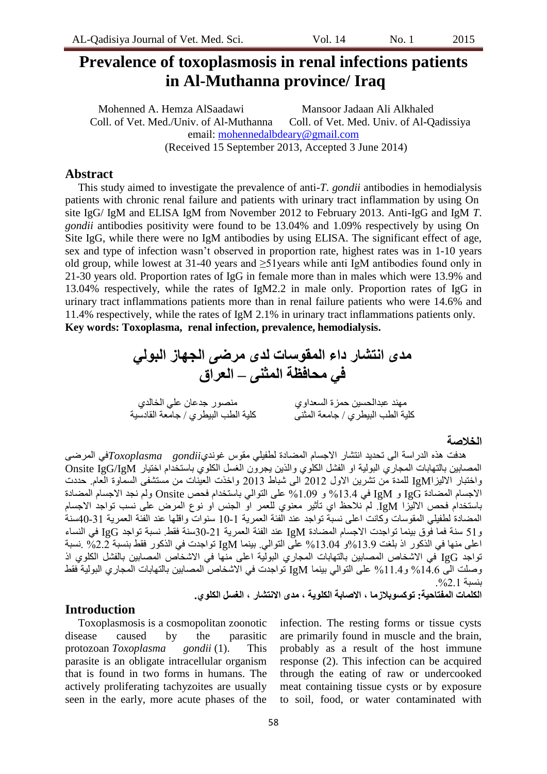# **Prevalence of toxoplasmosis in renal infections patients in Al-Muthanna province/ Iraq**

Mohenned A. Hemza AlSaadawi Mansoor Jadaan Ali Alkhaled Coll. of Vet. Med./Univ. of Al-Muthanna Coll. of Vet. Med. Univ. of Al-Qadissiya email: [mohennedalbdeary@gmail.com](mailto:mohennedalbdeary@gmail.com) (Received 15 September 2013, Accepted 3 June 2014)

## **Abstract**

This study aimed to investigate the prevalence of anti-*T*. *gondii* antibodies in hemodialysis patients with chronic renal failure and patients with urinary tract inflammation by using On site IgG/ IgM and ELISA IgM from November 2012 to February 2013. Anti-IgG and IgM *T*. *gondii* antibodies positivity were found to be 13.04% and 1.09% respectively by using On Site IgG, while there were no IgM antibodies by using ELISA. The significant effect of age, sex and type of infection wasn't observed in proportion rate, highest rates was in 1-10 years old group, while lowest at 31-40 years and ≥51years while anti IgM antibodies found only in 21-30 years old. Proportion rates of IgG in female more than in males which were 13.9% and 13.04% respectively, while the rates of IgM2.2 in male only. Proportion rates of IgG in urinary tract inflammations patients more than in renal failure patients who were 14.6% and 11.4% respectively, while the rates of IgM 2.1% in urinary tract inflammations patients only. **Key words: Toxoplasma, renal infection, prevalence, hemodialysis.**



## **الخالصة**

هدفت هذِ الدرِ اسة الى تحديد انتشار الاجسام المضبادة لطفيلي مقوس غونديar*oxoplasma gondii في* المرضى المصابين بالتهابات المجاري البولية او الفشل الكلوي والذين يجرون الغسل الكلوي باستخدام اختيار Onsite IgG/IgM واختبار الاليزاIgM للمدة من نشرين الاول 2012 الى شباط 2013 واخذت العينات من مستشفى السمّاوة العام. حددت الاجسام المضبادة IgG و IgM في 13.4% و 1.09% على التوالي باستخدام فحص Onsite ولم نجد الاجسام المضبادة باستخدام فحص الاليزا IgM. لم نلاحظ اي تأثير معنوي للعمر او الجنس او نوع المرض على نسب تواجد الاجسام المضبادة لطفيلي المقوسات وكانت اعلى نسبة تواجد عند الفئة العمرية 1-10 سنوات واقلها عند الفئة العمرية 31-40سنة و51 سنة فما فَوق بينما تواجدت الاجسام المضادة IgM عند الفئة العمرية 21-30سنة فقط. نسبة تواجد IgG في النساء اعلى منها في الذكور اذ بلغت 13.9%و 13.04% على النوالي. بينما IgM تواجدت في الذكور فقط بنسبة 2.2% بُسبة تواجد IgG في الاشخاص المصابين بالتهابات المجاري البولية اعلى منّها في الاشخاص المصابين بالفشل الكلوي اذ وصلت الى 14.6% و 11.4% على النوالي بينما IgM تواجدت في الاشخاص المصابين بالنهابات المجار ي البولية فقط بُضبت .%2.1

#### **الكلمات المفتاحَة: توكسوبالزما ، االصابة الكلوٍة ، مذى االنتشار ، الغسل الكلو.ً**

## **Introduction**

Toxoplasmosis is a cosmopolitan zoonotic disease caused by the parasitic protozoan *Toxoplasma gondii* (1). This parasite is an obligate intracellular organism that is found in two forms in humans. The actively proliferating tachyzoites are usually seen in the early, more acute phases of the infection. The resting forms or tissue cysts are primarily found in muscle and the brain, probably as a result of the host immune response (2). This infection can be acquired through the eating of raw or undercooked meat containing tissue cysts or by exposure to soil, food, or water contaminated with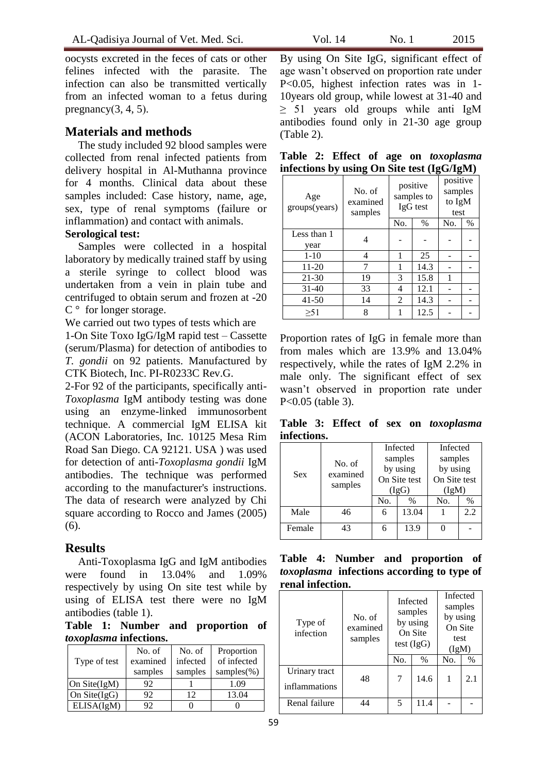oocysts excreted in the feces of cats or other felines infected with the parasite. The infection can also be transmitted vertically from an infected woman to a fetus during pregnancy $(3, 4, 5)$ .

# **Materials and methods**

The study included 92 blood samples were collected from renal infected patients from delivery hospital in Al-Muthanna province for 4 months. Clinical data about these samples included: Case history, name, age, sex, type of renal symptoms (failure or inflammation) and contact with animals.

### **Serological test:**

Samples were collected in a hospital laboratory by medically trained staff by using a sterile syringe to collect blood was undertaken from a vein in plain tube and centrifuged to obtain serum and frozen at -20  $C^{\circ}$  for longer storage.

We carried out two types of tests which are

1-On Site Toxo IgG/IgM rapid test – Cassette (serum/Plasma) for detection of antibodies to *T. gondii* on 92 patients. Manufactured by CTK Biotech, Inc. PI-R0233C Rev.G.

2-For 92 of the participants, specifically anti-*Toxoplasma* IgM antibody testing was done using an enzyme-linked immunosorbent technique. A commercial IgM ELISA kit (ACON Laboratories, Inc. 10125 Mesa Rim Road San Diego. CA 92121. USA ) was used for detection of anti-*Toxoplasma gondii* IgM antibodies. The technique was performed according to the manufacturer's instructions. The data of research were analyzed by Chi square according to Rocco and James (2005) (6).

# **Results**

Anti-Toxoplasma IgG and IgM antibodies were found in 13.04% and 1.09% respectively by using On site test while by using of ELISA test there were no IgM antibodies (table 1).

**Table 1: Number and proportion of**  *toxoplasma* **infections.**

| Type of test    | No. of<br>examined | No. of<br>infected | Proportion<br>of infected |  |  |
|-----------------|--------------------|--------------------|---------------------------|--|--|
|                 | samples            | samples            | samples $(\%)$            |  |  |
| On Site $(IgM)$ | 92                 |                    | 1.09                      |  |  |
| On Site $(IgG)$ | 92                 | 12                 | 13.04                     |  |  |
| ELISA(IgM)      | 92                 |                    |                           |  |  |

By using On Site IgG, significant effect of age wasn't observed on proportion rate under P<0.05, highest infection rates was in 1- 10years old group, while lowest at 31-40 and ≥ 51 years old groups while anti IgM antibodies found only in 21-30 age group (Table 2).

|  |  |  | Table 2: Effect of age on toxoplasma       |
|--|--|--|--------------------------------------------|
|  |  |  | infections by using On Site test (IgG/IgM) |

| Age<br>groups(years) | No. of<br>examined<br>samples |     | positive<br>samples to<br>IgG test | positive<br>samples<br>to IgM<br>test |      |
|----------------------|-------------------------------|-----|------------------------------------|---------------------------------------|------|
|                      |                               | No. | $\%$                               | No.                                   | $\%$ |
| Less than 1<br>year  | 4                             |     |                                    |                                       |      |
| $1 - 10$             | 4                             | 1   | 25                                 |                                       |      |
| 11-20                | 7                             | 1   | 14.3                               |                                       |      |
| $21 - 30$            | 19                            | 3   | 15.8                               | 1                                     |      |
| 31-40                | 33                            | 4   | 12.1                               |                                       |      |
| 41-50                | 14                            | 2   | 14.3                               |                                       |      |
| >51                  | 8                             |     | 12.5                               |                                       |      |

Proportion rates of IgG in female more than from males which are 13.9% and 13.04% respectively, while the rates of IgM 2.2% in male only. The significant effect of sex wasn't observed in proportion rate under P<0.05 (table 3).

**Table 3: Effect of sex on** *toxoplasma* **infections.**

|        |                               |     | Infected     | Infected     |      |
|--------|-------------------------------|-----|--------------|--------------|------|
| Sex    | No. of<br>examined<br>samples |     | samples      | samples      |      |
|        |                               |     | by using     | by using     |      |
|        |                               |     | On Site test | On Site test |      |
|        |                               |     | (IgG)        | (IgM)        |      |
|        |                               | No. | $\%$         | No.          | $\%$ |
| Male   | 46                            | 6   | 13.04        |              | 2.2  |
| Female | 43                            |     | 13.9         |              |      |

|                  | Table 4: Number and proportion of                 |  |  |
|------------------|---------------------------------------------------|--|--|
|                  | <i>toxoplasma</i> infections according to type of |  |  |
| renal infection. |                                                   |  |  |

| Type of<br>infection           | No. of<br>examined<br>samples | Infected<br>samples<br>by using<br>On Site<br>test $(IgG)$ |      | Infected<br>samples<br>by using<br>On Site<br>test<br>(IgM) |      |
|--------------------------------|-------------------------------|------------------------------------------------------------|------|-------------------------------------------------------------|------|
|                                |                               | No.                                                        | $\%$ | No.                                                         | $\%$ |
| Urinary tract<br>inflammations | 48                            | 7                                                          | 14.6 |                                                             | 2.1  |
| Renal failure                  | 44                            | 5                                                          | 11.4 |                                                             |      |